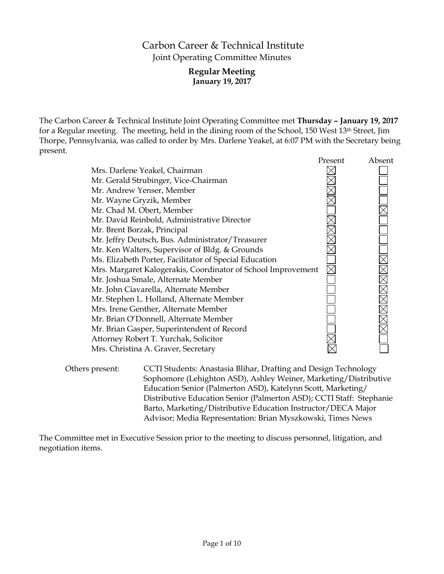# Carbon Career & Technical Institute Joint Operating Committee Minutes

# **Regular Meeting January 19, 2017**

The Carbon Career & Technical Institute Joint Operating Committee met **Thursday – January 19, 2017** for a Regular meeting. The meeting, held in the dining room of the School, 150 West 13<sup>th</sup> Street, Jim Thorpe, Pennsylvania, was called to order by Mrs. Darlene Yeakel, at 6:07 PM with the Secretary being present.

|                                                              | Present | Absent |
|--------------------------------------------------------------|---------|--------|
| Mrs. Darlene Yeakel, Chairman                                |         |        |
| Mr. Gerald Strubinger, Vice-Chairman                         |         |        |
| Mr. Andrew Yenser, Member                                    |         |        |
| Mr. Wayne Gryzik, Member                                     |         |        |
| Mr. Chad M. Obert, Member                                    |         |        |
| Mr. David Reinbold, Administrative Director                  |         |        |
| Mr. Brent Borzak, Principal                                  |         |        |
| Mr. Jeffry Deutsch, Bus. Administrator/Treasurer             |         |        |
| Mr. Ken Walters, Supervisor of Bldg. & Grounds               |         |        |
| Ms. Elizabeth Porter, Facilitator of Special Education       |         |        |
| Mrs. Margaret Kalogerakis, Coordinator of School Improvement |         |        |
| Mr. Joshua Smale, Alternate Member                           |         |        |
| Mr. John Ciavarella, Alternate Member                        |         |        |
| Mr. Stephen L. Holland, Alternate Member                     |         |        |
| Mrs. Irene Genther, Alternate Member                         |         |        |
| Mr. Brian O'Donnell, Alternate Member                        |         |        |
| Mr. Brian Gasper, Superintendent of Record                   |         |        |
| Attorney Robert T. Yurchak, Solicitor                        |         |        |
| Mrs. Christina A. Graver, Secretary                          |         |        |
|                                                              |         |        |

Others present: CCTI Students: Anastasia Blihar, Drafting and Design Technology Sophomore (Lehighton ASD), Ashley Weiner, Marketing/Distributive Education Senior (Palmerton ASD), Katelynn Scott, Marketing/ Distributive Education Senior (Palmerton ASD); CCTI Staff: Stephanie Barto, Marketing/Distributive Education Instructor/DECA Major Advisor; Media Representation: Brian Myszkowski, Times News

The Committee met in Executive Session prior to the meeting to discuss personnel, litigation, and negotiation items.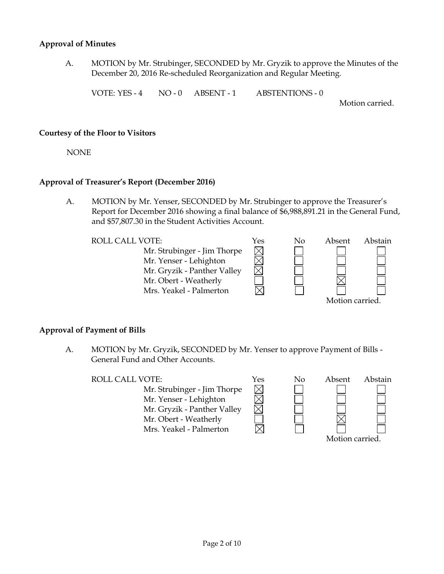# **Approval of Minutes**

A. MOTION by Mr. Strubinger, SECONDED by Mr. Gryzik to approve the Minutes of the December 20, 2016 Re-scheduled Reorganization and Regular Meeting.

VOTE: YES - 4 NO - 0 ABSENT - 1 ABSTENTIONS - 0

Motion carried.

#### **Courtesy of the Floor to Visitors**

NONE

# **Approval of Treasurer's Report (December 2016)**

A. MOTION by Mr. Yenser, SECONDED by Mr. Strubinger to approve the Treasurer's Report for December 2016 showing a final balance of \$6,988,891.21 in the General Fund, and \$57,807.30 in the Student Activities Account.

| <b>ROLL CALL VOTE:</b>      | Yes | No | Absent          | Abstain |  |
|-----------------------------|-----|----|-----------------|---------|--|
| Mr. Strubinger - Jim Thorpe |     |    |                 |         |  |
| Mr. Yenser - Lehighton      |     |    |                 |         |  |
| Mr. Gryzik - Panther Valley |     |    |                 |         |  |
| Mr. Obert - Weatherly       |     |    |                 |         |  |
| Mrs. Yeakel - Palmerton     |     |    |                 |         |  |
|                             |     |    | Motion carried. |         |  |

# **Approval of Payment of Bills**

A. MOTION by Mr. Gryzik, SECONDED by Mr. Yenser to approve Payment of Bills - General Fund and Other Accounts.

ROLL CALL VOTE:  $Y$ es No Absent Abstain

Mr. Strubinger - Jim Thorpe Mr. Yenser - Lehighton Mr. Gryzik - Panther Valley Mr. Obert - Weatherly Mrs. Yeakel - Palmerton



 $\boxtimes$ 

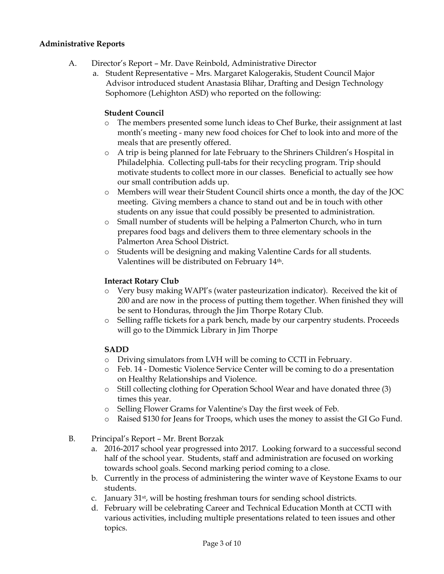# **Administrative Reports**

- A. Director's Report Mr. Dave Reinbold, Administrative Director
	- a. Student Representative Mrs. Margaret Kalogerakis, Student Council Major Advisor introduced student Anastasia Blihar, Drafting and Design Technology Sophomore (Lehighton ASD) who reported on the following:

# **Student Council**

- o The members presented some lunch ideas to Chef Burke, their assignment at last month's meeting - many new food choices for Chef to look into and more of the meals that are presently offered.
- o A trip is being planned for late February to the Shriners Children's Hospital in Philadelphia. Collecting pull-tabs for their recycling program. Trip should motivate students to collect more in our classes. Beneficial to actually see how our small contribution adds up.
- o Members will wear their Student Council shirts once a month, the day of the JOC meeting. Giving members a chance to stand out and be in touch with other students on any issue that could possibly be presented to administration.
- o Small number of students will be helping a Palmerton Church, who in turn prepares food bags and delivers them to three elementary schools in the Palmerton Area School District.
- o Students will be designing and making Valentine Cards for all students. Valentines will be distributed on February 14th.

# **Interact Rotary Club**

- o Very busy making WAPI's (water pasteurization indicator). Received the kit of 200 and are now in the process of putting them together. When finished they will be sent to Honduras, through the Jim Thorpe Rotary Club.
- o Selling raffle tickets for a park bench, made by our carpentry students. Proceeds will go to the Dimmick Library in Jim Thorpe

# **SADD**

- o Driving simulators from LVH will be coming to CCTI in February.
- o Feb. 14 Domestic Violence Service Center will be coming to do a presentation on Healthy Relationships and Violence.
- o Still collecting clothing for Operation School Wear and have donated three (3) times this year.
- o Selling Flower Grams for Valentine's Day the first week of Feb.
- o Raised \$130 for Jeans for Troops, which uses the money to assist the GI Go Fund.
- B. Principal's Report Mr. Brent Borzak
	- a. 2016-2017 school year progressed into 2017. Looking forward to a successful second half of the school year. Students, staff and administration are focused on working towards school goals. Second marking period coming to a close.
	- b. Currently in the process of administering the winter wave of Keystone Exams to our students.
	- c. January 31st, will be hosting freshman tours for sending school districts.
	- d. February will be celebrating Career and Technical Education Month at CCTI with various activities, including multiple presentations related to teen issues and other topics.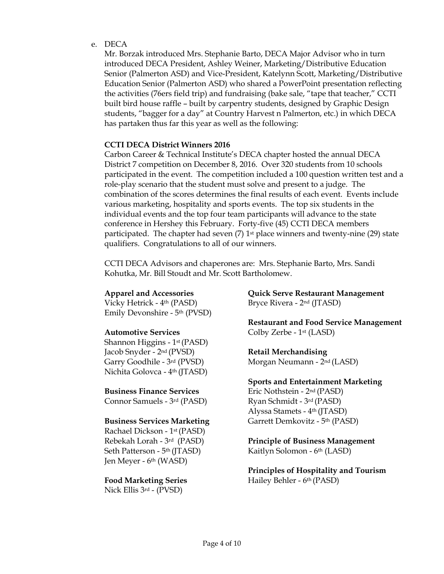e. DECA

Mr. Borzak introduced Mrs. Stephanie Barto, DECA Major Advisor who in turn introduced DECA President, Ashley Weiner, Marketing/Distributive Education Senior (Palmerton ASD) and Vice-President, Katelynn Scott, Marketing/Distributive Education Senior (Palmerton ASD) who shared a PowerPoint presentation reflecting the activities (76ers field trip) and fundraising (bake sale, "tape that teacher," CCTI built bird house raffle – built by carpentry students, designed by Graphic Design students, "bagger for a day" at Country Harvest n Palmerton, etc.) in which DECA has partaken thus far this year as well as the following:

# **CCTI DECA District Winners 2016**

Carbon Career & Technical Institute's DECA chapter hosted the annual DECA District 7 competition on December 8, 2016. Over 320 students from 10 schools participated in the event. The competition included a 100 question written test and a role-play scenario that the student must solve and present to a judge. The combination of the scores determines the final results of each event. Events include various marketing, hospitality and sports events. The top six students in the individual events and the top four team participants will advance to the state conference in Hershey this February. Forty-five (45) CCTI DECA members participated. The chapter had seven  $(7)$  1<sup>st</sup> place winners and twenty-nine  $(29)$  state qualifiers. Congratulations to all of our winners.

CCTI DECA Advisors and chaperones are: Mrs. Stephanie Barto, Mrs. Sandi Kohutka, Mr. Bill Stoudt and Mr. Scott Bartholomew.

Vicky Hetrick - 4th (PASD) Bryce Rivera - 2nd (JTASD) Emily Devonshire - 5th (PVSD)

Shannon Higgins - 1st (PASD) Jacob Snyder - 2nd (PVSD) **Retail Merchandising** Garry Goodhile - 3<sup>rd</sup> (PVSD) Morgan Neumann - 2<sup>nd</sup> (LASD) Nichita Golovca - 4th (JTASD)

Connor Samuels - 3<sup>rd</sup> (PASD) Ryan Schmidt - 3<sup>rd</sup> (PASD)

Rachael Dickson - 1st (PASD) Seth Patterson - 5<sup>th</sup> (JTASD) Kaitlyn Solomon - 6<sup>th</sup> (LASD) Jen Meyer - 6th (WASD)

Nick Ellis 3rd - (PVSD)

**Apparel and Accessories Quick Serve Restaurant Management**

**Restaurant and Food Service Management Automotive Services** Colby Zerbe - 1<sup>st</sup> (LASD)

# **Sports and Entertainment Marketing Business Finance Services** Eric Nothstein - 2<sup>nd</sup> (PASD)

Alyssa Stamets - 4th (JTASD) **Business Services Marketing** Garrett Demkovitz - 5<sup>th</sup> (PASD)

Rebekah Lorah - 3rd (PASD) **Principle of Business Management**

**Principles of Hospitality and Tourism Food Marketing Series** Hailey Behler - 6<sup>th</sup> (PASD)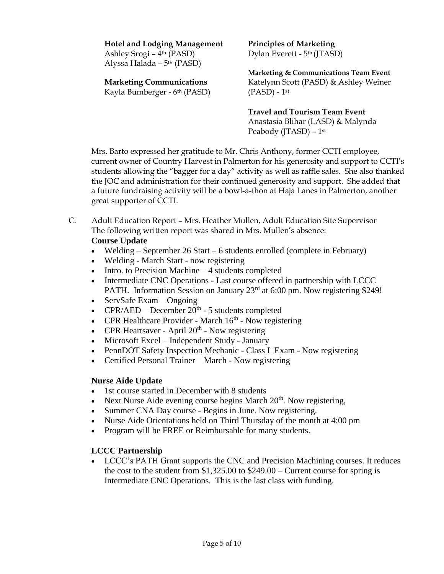# **Hotel and Lodging Management Principles of Marketing**

Ashley Srogi – 4<sup>th</sup> (PASD) Dylan Everett - 5<sup>th</sup> (JTASD) Alyssa Halada – 5th (PASD)

# Kayla Bumberger - 6<sup>th</sup> (PASD) (PASD) - 1<sup>st</sup>

**Marketing & Communications Team Event Marketing Communications** Katelynn Scott (PASD) & Ashley Weiner

> **Travel and Tourism Team Event** Anastasia Blihar (LASD) & Malynda Peabody (JTASD) – 1st

Mrs. Barto expressed her gratitude to Mr. Chris Anthony, former CCTI employee, current owner of Country Harvest in Palmerton for his generosity and support to CCTI's students allowing the "bagger for a day" activity as well as raffle sales. She also thanked the JOC and administration for their continued generosity and support. She added that a future fundraising activity will be a bowl-a-thon at Haja Lanes in Palmerton, another great supporter of CCTI.

C. Adult Education Report – Mrs. Heather Mullen, Adult Education Site Supervisor The following written report was shared in Mrs. Mullen's absence:

# **Course Update**

- Welding September 26 Start 6 students enrolled (complete in February)
- Welding March Start now registering
- $\bullet$  Intro. to Precision Machine  $-4$  students completed
- Intermediate CNC Operations Last course offered in partnership with LCCC PATH. Information Session on January 23<sup>rd</sup> at 6:00 pm. Now registering \$249!
- $\bullet$  ServSafe Exam Ongoing
- CPR/AED December  $20<sup>th</sup>$  5 students completed
- CPR Healthcare Provider March  $16<sup>th</sup>$  Now registering
- CPR Heartsaver April  $20<sup>th</sup>$  Now registering
- Microsoft Excel Independent Study January
- PennDOT Safety Inspection Mechanic Class I Exam Now registering
- Certified Personal Trainer March Now registering

# **Nurse Aide Update**

- 1st course started in December with 8 students
- Next Nurse Aide evening course begins March  $20<sup>th</sup>$ . Now registering,
- Summer CNA Day course Begins in June. Now registering.
- Nurse Aide Orientations held on Third Thursday of the month at 4:00 pm
- Program will be FREE or Reimbursable for many students.

# **LCCC Partnership**

 LCCC's PATH Grant supports the CNC and Precision Machining courses. It reduces the cost to the student from  $$1,325.00$  to  $$249.00$  – Current course for spring is Intermediate CNC Operations. This is the last class with funding.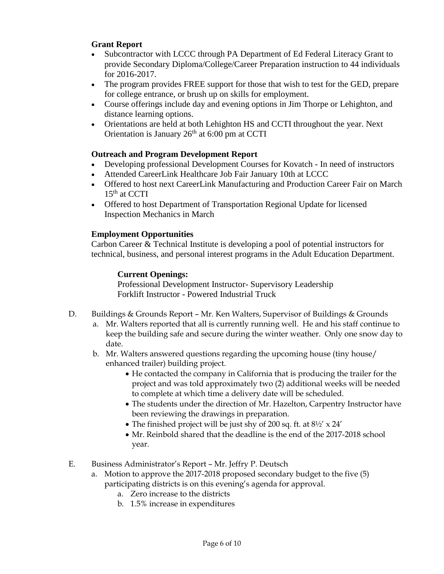# **Grant Report**

- Subcontractor with LCCC through PA Department of Ed Federal Literacy Grant to provide Secondary Diploma/College/Career Preparation instruction to 44 individuals for 2016-2017.
- The program provides FREE support for those that wish to test for the GED, prepare for college entrance, or brush up on skills for employment.
- Course offerings include day and evening options in Jim Thorpe or Lehighton, and distance learning options.
- Orientations are held at both Lehighton HS and CCTI throughout the year. Next Orientation is January 26<sup>th</sup> at 6:00 pm at CCTI

# **Outreach and Program Development Report**

- Developing professional Development Courses for Kovatch In need of instructors
- Attended CareerLink Healthcare Job Fair January 10th at LCCC
- Offered to host next CareerLink Manufacturing and Production Career Fair on March  $15<sup>th</sup>$  at CCTI
- Offered to host Department of Transportation Regional Update for licensed Inspection Mechanics in March

# **Employment Opportunities**

Carbon Career & Technical Institute is developing a pool of potential instructors for technical, business, and personal interest programs in the Adult Education Department.

# **Current Openings:**

Professional Development Instructor- Supervisory Leadership Forklift Instructor - Powered Industrial Truck

- D. Buildings & Grounds Report Mr. Ken Walters, Supervisor of Buildings & Grounds
	- a. Mr. Walters reported that all is currently running well. He and his staff continue to keep the building safe and secure during the winter weather. Only one snow day to date.
	- b. Mr. Walters answered questions regarding the upcoming house (tiny house) enhanced trailer) building project.
		- He contacted the company in California that is producing the trailer for the project and was told approximately two (2) additional weeks will be needed to complete at which time a delivery date will be scheduled.
		- The students under the direction of Mr. Hazelton, Carpentry Instructor have been reviewing the drawings in preparation.
		- The finished project will be just shy of 200 sq. ft. at  $8\frac{1}{2}$  x 24'
		- Mr. Reinbold shared that the deadline is the end of the 2017-2018 school year.
- E. Business Administrator's Report Mr. Jeffry P. Deutsch
	- a. Motion to approve the 2017-2018 proposed secondary budget to the five (5) participating districts is on this evening's agenda for approval.
		- a. Zero increase to the districts
		- b. 1.5% increase in expenditures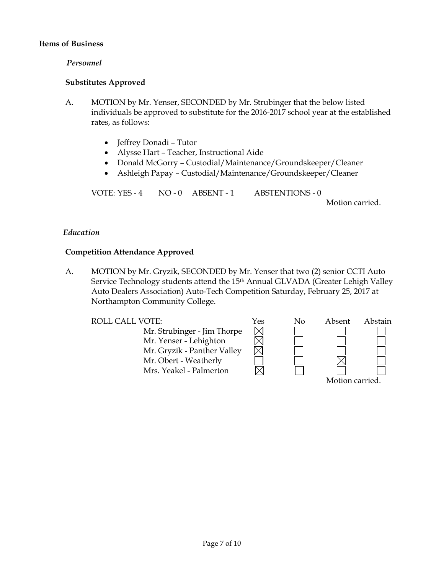# **Items of Business**

# *Personnel*

# **Substitutes Approved**

- A. MOTION by Mr. Yenser, SECONDED by Mr. Strubinger that the below listed individuals be approved to substitute for the 2016-2017 school year at the established rates, as follows:
	- Jeffrey Donadi Tutor
	- Alysse Hart Teacher, Instructional Aide
	- Donald McGorry Custodial/Maintenance/Groundskeeper/Cleaner
	- Ashleigh Papay Custodial/Maintenance/Groundskeeper/Cleaner

VOTE: YES - 4 NO - 0 ABSENT - 1 ABSTENTIONS - 0

Motion carried.

# *Education*

# **Competition Attendance Approved**

A. MOTION by Mr. Gryzik, SECONDED by Mr. Yenser that two (2) senior CCTI Auto Service Technology students attend the 15<sup>th</sup> Annual GLVADA (Greater Lehigh Valley Auto Dealers Association) Auto-Tech Competition Saturday, February 25, 2017 at Northampton Community College.

Mr. Strubinger - Jim Thorpe Mr. Yenser - Lehighton Mr. Gryzik - Panther Valley Mr. Obert - Weatherly Mrs. Yeakel - Palmerton

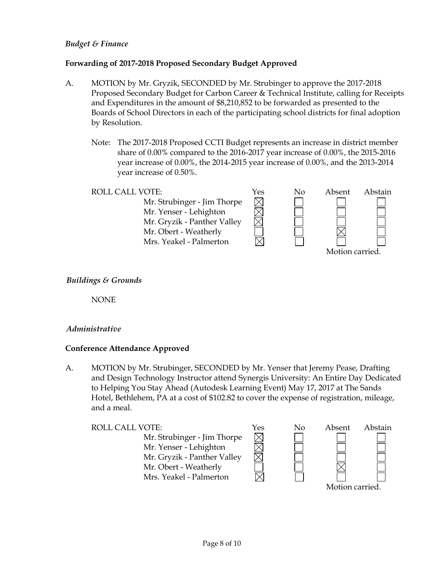# *Budget & Finance*

# **Forwarding of 2017-2018 Proposed Secondary Budget Approved**

- A. MOTION by Mr. Gryzik, SECONDED by Mr. Strubinger to approve the 2017-2018 Proposed Secondary Budget for Carbon Career & Technical Institute, calling for Receipts and Expenditures in the amount of \$8,210,852 to be forwarded as presented to the Boards of School Directors in each of the participating school districts for final adoption by Resolution.
	- Note: The 2017-2018 Proposed CCTI Budget represents an increase in district member share of 0.00% compared to the 2016-2017 year increase of 0.00%, the 2015-2016 year increase of 0.00%, the 2014-2015 year increase of 0.00%, and the 2013-2014 year increase of 0.50%.

冈

Mr. Strubinger - Jim Thorpe Mr. Yenser - Lehighton Mr. Gryzik - Panther Valley Mr. Obert - Weatherly Mrs. Yeakel - Palmerton



# *Buildings & Grounds*

NONE

# *Administrative*

# **Conference Attendance Approved**

A. MOTION by Mr. Strubinger, SECONDED by Mr. Yenser that Jeremy Pease, Drafting and Design Technology Instructor attend Synergis University: An Entire Day Dedicated to Helping You Stay Ahead (Autodesk Learning Event) May 17, 2017 at The Sands Hotel, Bethlehem, PA at a cost of \$102.82 to cover the expense of registration, mileage, and a meal.

| <b>ROLL CALL VOTE:</b>      | Yes | No | Absent          | Abstain |
|-----------------------------|-----|----|-----------------|---------|
| Mr. Strubinger - Jim Thorpe |     |    |                 |         |
| Mr. Yenser - Lehighton      |     |    |                 |         |
| Mr. Gryzik - Panther Valley |     |    |                 |         |
| Mr. Obert - Weatherly       |     |    |                 |         |
| Mrs. Yeakel - Palmerton     |     |    |                 |         |
|                             |     |    | Motion carried. |         |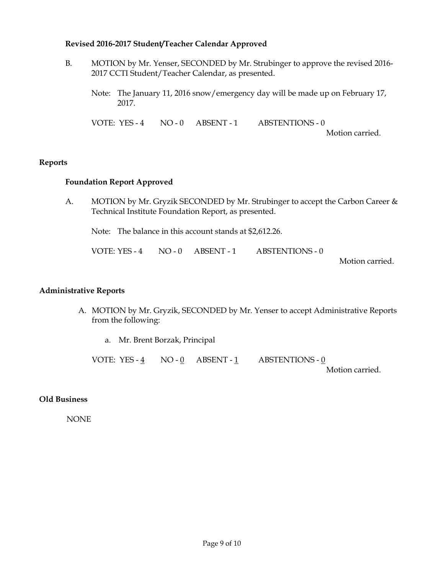# **Revised 2016-2017 Student/Teacher Calendar Approved**

- B. MOTION by Mr. Yenser, SECONDED by Mr. Strubinger to approve the revised 2016- 2017 CCTI Student/Teacher Calendar, as presented.
	- Note: The January 11, 2016 snow/emergency day will be made up on February 17, 2017.

VOTE: YES - 4 NO - 0 ABSENT - 1 ABSTENTIONS - 0

Motion carried.

# **Reports**

# **Foundation Report Approved**

A. MOTION by Mr. Gryzik SECONDED by Mr. Strubinger to accept the Carbon Career & Technical Institute Foundation Report, as presented.

Note: The balance in this account stands at \$2,612.26.

VOTE: YES - 4 NO - 0 ABSENT - 1 ABSTENTIONS - 0

Motion carried.

#### **Administrative Reports**

- A. MOTION by Mr. Gryzik, SECONDED by Mr. Yenser to accept Administrative Reports from the following:
	- a. Mr. Brent Borzak, Principal

VOTE: YES - 4 NO - 0 ABSENT - 1 ABSTENTIONS - 0

Motion carried.

# **Old Business**

NONE